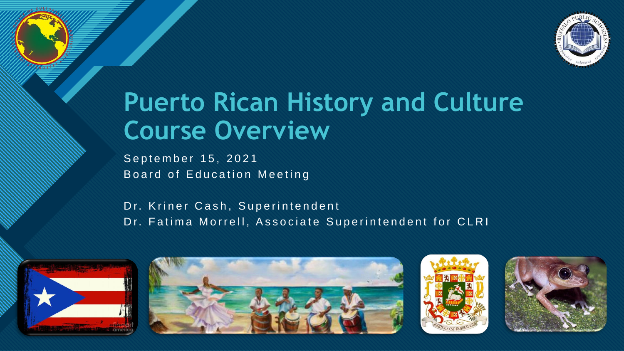

### **Puerto Rican History and Culture Course Overview**

September 15, 2021 Board of Education Meeting

**Click to edit Master title style**

Dr. Kriner Cash, Superintendent Dr. Fatima Morrell, Associate Superintendent for CLRI







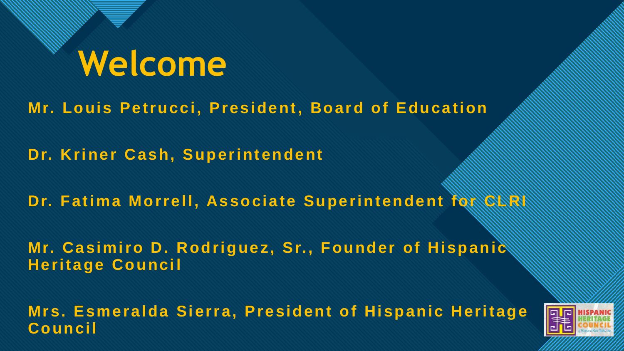### **Click to edit Master title style Welcome**

**Mr. Louis Petrucci, President, Board of Education**

**Dr. Kriner Cash, Superintendent**

**Dr. Fatima Morrell, Associate Superintendent for CRRISSING** 

Mr. Casimiro D. Rodriguez, Sr., Founder of Hispanic<sup>®</sup> **Heritage Council**

**Mrs. Esmeralda Sierra, President of Hispanic Heritage**  Council and the council and the council and the council and the council and the co

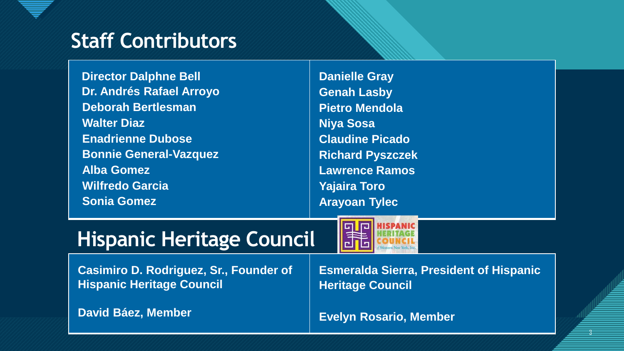### **Contributors**

**Director Dalphne Bell Dr. Andrés Rafael Arroyo Deborah Bertlesman Walter Diaz Enadrienne Dubose Bonnie General-Vazquez Alba Gomez Wilfredo Garcia Sonia Gomez**

**Danielle Gray Genah Lasby Pietro Mendola Niya Sosa Claudine Picado Richard Pyszczek Lawrence Ramos Yajaira Toro Arayoan Tylec**

### **Hispanic Heritage Council**



**Casimiro D. Rodriguez, Sr., Founder of Hispanic Heritage Council**

**David Báez, Member**

**Esmeralda Sierra, President of Hispanic Heritage Council**

> <u>=</u> 3

**Evelyn Rosario, Member**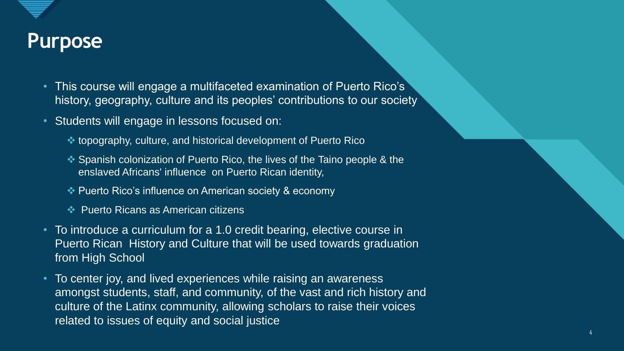

### **Collection of the Master title style style style style style style style style style style style style style**

- This course will engage a multifaceted examination of Puerto Rico's history, geography, culture and its peoples' contributions to our society
- Students will engage in lessons focused on:
	- topography, culture, and historical development of Puerto Rico
	- ◆ Spanish colonization of Puerto Rico, the lives of the Taino people & the enslaved Africans' influence on Puerto Rican identity,
	- Puerto Rico's influence on American society & economy
	- **EXA Puerto Ricans as American citizens**
- To introduce a curriculum for a 1.0 credit bearing, elective course in Puerto Rican History and Culture that will be used towards graduation from High School
- To center joy, and lived experiences while raising an awareness amongst students, staff, and community, of the vast and rich history and culture of the Latinx community, allowing scholars to raise their voices related to issues of equity and social justice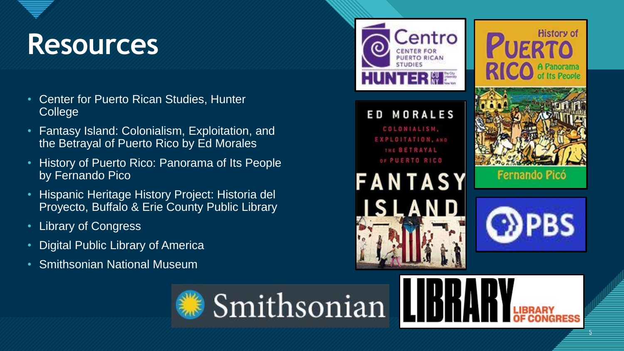## Resources **Constitution**

- Center for Puerto Rican Studies, Hunter College
- Fantasy Island: Colonialism, Exploitation, and the Betrayal of Puerto Rico by Ed Morales
- History of Puerto Rico: Panorama of Its People by Fernando Pico
- Hispanic Heritage History Project: Historia del Proyecto, Buffalo & Erie County Public Library
- Library of Congress
- Digital Public Library of America
- Smithsonian National Museum



5 5

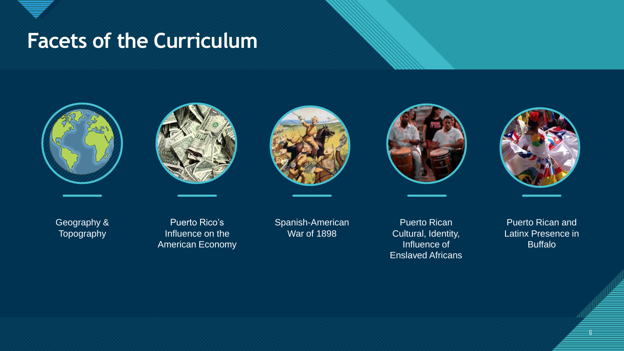#### **Facets of the Curriculum**











Geography & Topography

Puerto Rico's Influence on the American Economy

Spanish-American War of 1898

Puerto Rican Cultural, Identity, Influence of Enslaved Africans

Puerto Rican and Latinx Presence in Buffalo

6

6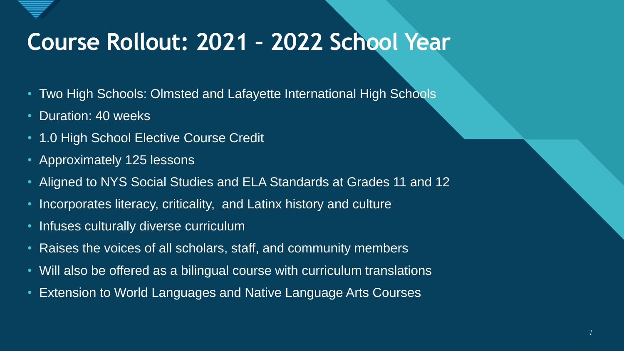

### **Click to edit Master title style Course Rollout: 2021 – 2022 School Year**

- Two High Schools: Olmsted and Lafayette International High Schools
- Duration: 40 weeks
- 1.0 High School Elective Course Credit
- Approximately 125 lessons
- Aligned to NYS Social Studies and ELA Standards at Grades 11 and 12
- Incorporates literacy, criticality, and Latinx history and culture
- Infuses culturally diverse curriculum
- Raises the voices of all scholars, staff, and community members
- Will also be offered as a bilingual course with curriculum translations
- Extension to World Languages and Native Language Arts Courses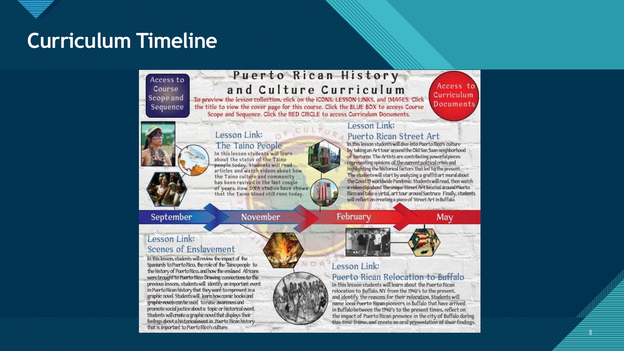#### **Curriculum Timeline**

Access to Course Scope and Sequence

#### Puerto Rican History and Culture Curriculum To preview the lesson collection, click on the ICONS, LESSON LINKS, and IMAGES. Click

the title to view the cover page for this course. Click the BLUE BOX to access Course Scope and Sequence. Click the RED CIRCLE to access Curriculum Documents.

Access to Curriculum

### Documents,

8 8

The Taino People In this lesson students will learn about the status of the Taino people today. Students will readarticles and watch videos about how the Taino culture and community has been revived in the last couple of years. How DNA studies have shown that the Taino blood still runs today

Lesson Link:

#### Lesson Link:

#### Puerto Rican Street Art

In this lesson students will dive into Puerto Rico's culture by taking an Art tour around the Old San Juan neighborhood of Santuree. The Artists are contributing powerful pieces representing opinions of the current political crisis and highlighting the historical factors that led to the present. The students will start by analyzing a graffiti art mural about the Covid 19 worldwide Pandemic. Students will read, then watch a video clip about the unique Street Art located around Puerto Rico and take a virtuL art tour around Santruce Finally, students will reflect on creating a piece of Street Art in Buffalo.

September

November

#### February



#### Lesson Link: Scenes of Enslavement

In this lesson, students will review the impact of the Spaniards to Puerto Rico, the role of the Taino people to the history of Puerto Rico, and how the enslaved Africans were brought to Puerto Rico. Drawing connections to the previous lessons, students will identify an important event in Puerto Rican history that they want to represent in a graphic novel. Students will learn how comic books and graphic novels can be used to raise awareness and promote social justice about a topic or historical event. Students will create a graphic novel that displays their feelings about a historicalevent in Puerto Rican history. that is important to Puerto Rico's culture.

#### Lesson Link:

#### Puerto Rican Relocation to Buffalo

In this lesson students will learn about the Puerto Rican relocation to Buffalo, NY from the 1940's to the present, and identify the reasons for their relocation. Students will name local Puerto Rican pioneers in Buffalo that have arrived in Buffalo between the 1940's to the present times, reflect on the impact of Puerto Rican presence in the city of Buffalo during this time frame, and create an oral presentation of their findings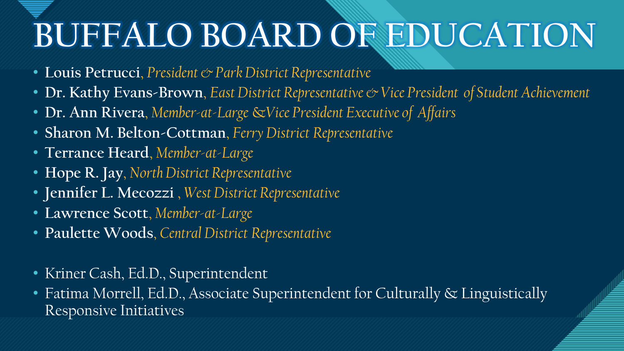# **BUFFALO BOARD OF EDUCATION**

- **Louis Petrucci**, *President & Park District Representative*
- **Dr. Kathy Evans-Brown**, *East District Representative & Vice President of Student Achievement*
- **Dr. Ann Rivera**, *Member-at-Large* &*Vice President Executive of Affairs*
- **Sharon M. Belton-Cottman**, *Ferry District Representative*
- **Terrance Heard**, *Member-at-Large*
- **Hope R. Jay**, *North District Representative*
- **Jennifer L. Mecozzi** , *West District Representative*
- **Lawrence Scott**, *Member-at-Large*
- **Paulette Woods**, *Central District Representative*
- Kriner Cash, Ed.D., Superintendent
- Fatima Morrell, Ed.D., Associate Superintendent for Culturally & Linguistically Responsive Initiatives

<u>=</u>